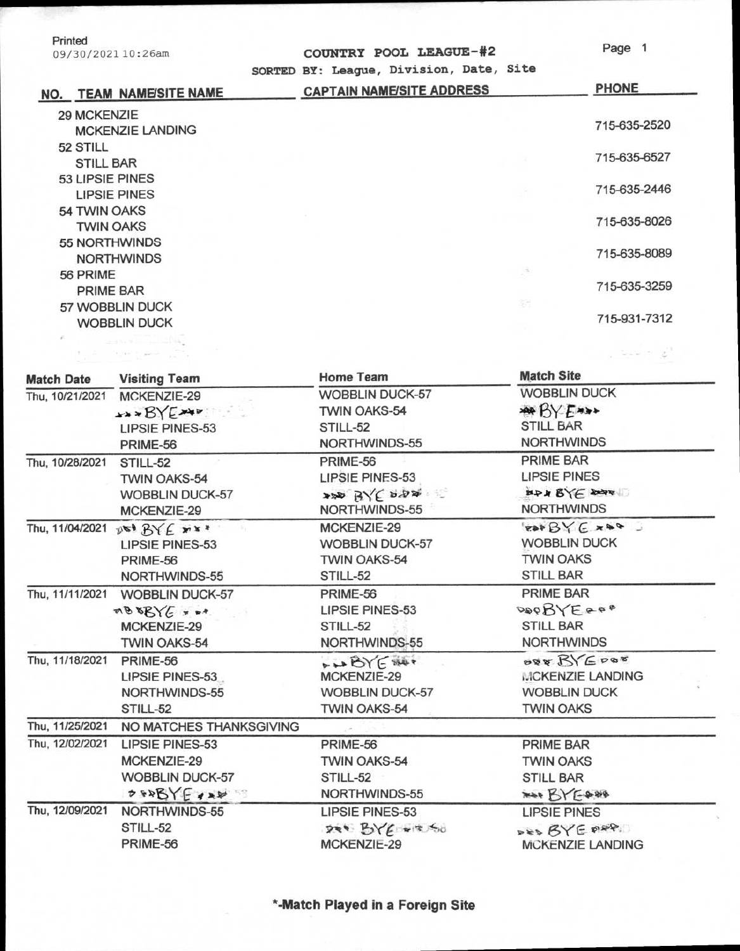| Printed            |  |
|--------------------|--|
| 09/30/2021 10:26am |  |

The part of

| 09/30/202110:26am | COUNTRY POOL LEAGUE-#2 | Page 1 |
|-------------------|------------------------|--------|

ಲ್ಲಿ ಎಂ

| NO. | <b>TEAM NAME/SITE NAME</b> | SORTED BY: League, Division, Date, Site<br><b>CAPTAIN NAME/SITE ADDRESS</b> | <b>PHONE</b> |
|-----|----------------------------|-----------------------------------------------------------------------------|--------------|
|     | 29 MCKENZIE                |                                                                             |              |
|     | <b>MCKENZIE LANDING</b>    |                                                                             | 715-635-2520 |
|     | 52 STILL                   |                                                                             |              |
|     | <b>STILL BAR</b>           |                                                                             | 715-635-6527 |
|     | 53 LIPSIE PINES            |                                                                             |              |
|     | <b>LIPSIE PINES</b>        |                                                                             | 715-635-2446 |
|     | 54 TWIN OAKS               |                                                                             |              |
|     | <b>TWIN OAKS</b>           |                                                                             | 715-635-8026 |
|     | 55 NORTHWINDS              |                                                                             |              |
|     | <b>NORTHWINDS</b>          |                                                                             | 715-635-8089 |
|     | 56 PRIME                   | $\frac{1}{\sqrt{2}}$                                                        |              |
|     | PRIME BAR                  |                                                                             | 715-635-3259 |
|     | 57 WOBBLIN DUCK            | 耕                                                                           |              |
|     | <b>WOBBLIN DUCK</b>        |                                                                             | 715-931-7312 |
|     |                            |                                                                             |              |

| <b>Match Date</b> | <b>Visiting Team</b>                            | <b>Home Team</b>       | <b>Match Site</b>    |  |
|-------------------|-------------------------------------------------|------------------------|----------------------|--|
| Thu, 10/21/2021   | MCKENZIE-29                                     | <b>WOBBLIN DUCK-57</b> | <b>WOBBLIN DUCK</b>  |  |
|                   | *** BYE***                                      | <b>TWIN OAKS-54</b>    | <b>ARBY EXXX</b>     |  |
|                   | <b>LIPSIE PINES-53</b>                          | STILL-52               | <b>STILL BAR</b>     |  |
|                   | PRIME-56                                        | NORTHWINDS-55          | <b>NORTHWINDS</b>    |  |
| Thu, 10/28/2021   | STILL-52                                        | PRIME-56               | <b>PRIME BAR</b>     |  |
|                   | <b>TWIN OAKS-54</b>                             | <b>LIPSIE PINES-53</b> | <b>LIPSIE PINES</b>  |  |
|                   | <b>WOBBLIN DUCK-57</b>                          | APP BYE DOOR           | MAN BYE DONE         |  |
|                   | MCKENZIE-29                                     | NORTHWINDS-55          | <b>NORTHWINDS</b>    |  |
|                   | Thu, 11/04/2021 $p \in B \times E$ is *<br>-19. | MCKENZIE-29            | $P$ as $B$ $Y \in R$ |  |
|                   | <b>LIPSIE PINES-53</b>                          | <b>WOBBLIN DUCK-57</b> | <b>WOBBLIN DUCK</b>  |  |
|                   | PRIME-56                                        | <b>TWIN OAKS-54</b>    | <b>TWIN OAKS</b>     |  |
|                   | NORTHWINDS-55                                   | STILL-52               | <b>STILL BAR</b>     |  |
| Thu, 11/11/2021   | <b>WOBBLIN DUCK-57</b>                          | PRIME-56               | PRIME BAR            |  |
|                   | $R = \sqrt{9880}$                               | LIPSIE PINES-53        | DOBYEAGO             |  |
|                   | MCKENZIE-29                                     | STILL-52               | <b>STILL BAR</b>     |  |
|                   | TWIN OAKS-54                                    | NORTHWINDS-55          | <b>NORTHWINDS</b>    |  |
| Thu, 11/18/2021   | PRIME-56                                        | LABYE SHOP             | OPE BYEDOR           |  |
|                   | LIPSIE PINES-53                                 | MCKENZIE-29            | MCKENZIE LANDING     |  |
|                   | NORTHWINDS-55                                   | <b>WOBBLIN DUCK-57</b> | <b>WOBBLIN DUCK</b>  |  |
|                   | STILL-52                                        | TWIN OAKS-54           | <b>TWIN OAKS</b>     |  |
| Thu, 11/25/2021   | NO MATCHES THANKSGIVING                         |                        |                      |  |
| Thu, 12/02/2021   | <b>LIPSIE PINES-53</b>                          | PRIME-56               | PRIME BAR            |  |
|                   | MCKENZIE-29                                     | <b>TWIN OAKS-54</b>    | <b>TWIN OAKS</b>     |  |
|                   | <b>WOBBLIN DUCK-57</b>                          | STILL-52               | <b>STILL BAR</b>     |  |
|                   | 0.988YE488                                      | NORTHWINDS-55          | NAP BY EARS          |  |
| Thu, 12/09/2021   | NORTHWINDS-55                                   | LIPSIE PINES-53        | <b>LIPSIE PINES</b>  |  |
|                   | STILL-52                                        | $D = B \times E = 50$  | $P$ ES BYE PRP       |  |
|                   | PRIME-56                                        | MCKENZIE-29            | MCKENZIE LANDING     |  |

**\*Watch Played in a Foreign Site**